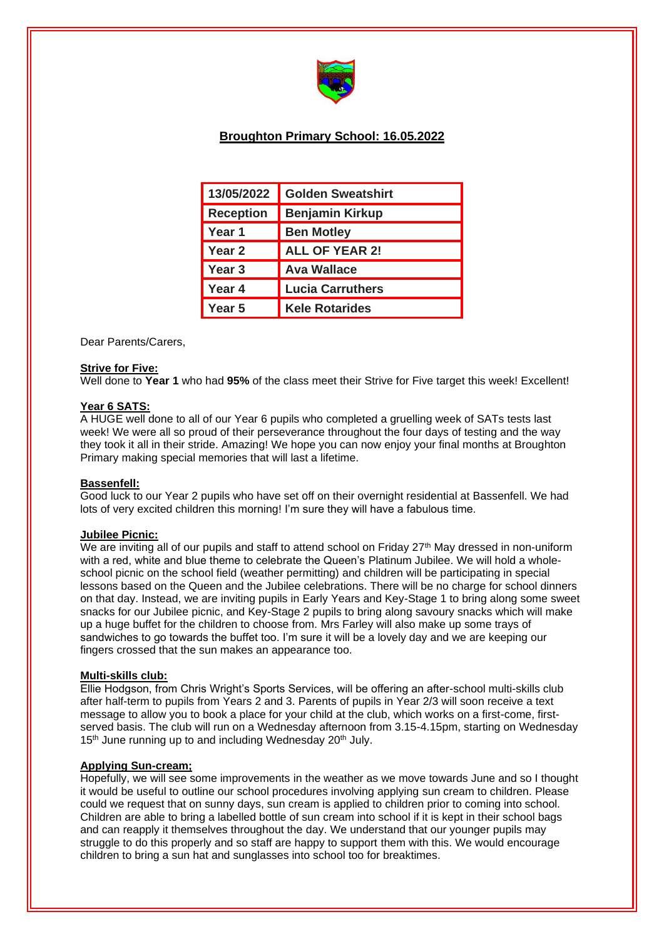

# **Broughton Primary School: 16.05.2022**

| 13/05/2022       | <b>Golden Sweatshirt</b> |
|------------------|--------------------------|
| <b>Reception</b> | <b>Benjamin Kirkup</b>   |
| <b>Year 1</b>    | <b>Ben Motley</b>        |
| Year 2           | <b>ALL OF YEAR 2!</b>    |
| Year 3           | <b>Ava Wallace</b>       |
| Year 4           | <b>Lucia Carruthers</b>  |
| Year 5           | <b>Kele Rotarides</b>    |

Dear Parents/Carers,

### **Strive for Five:**

Well done to **Year 1** who had **95%** of the class meet their Strive for Five target this week! Excellent!

## **Year 6 SATS:**

A HUGE well done to all of our Year 6 pupils who completed a gruelling week of SATs tests last week! We were all so proud of their perseverance throughout the four days of testing and the way they took it all in their stride. Amazing! We hope you can now enjoy your final months at Broughton Primary making special memories that will last a lifetime.

### **Bassenfell:**

Good luck to our Year 2 pupils who have set off on their overnight residential at Bassenfell. We had lots of very excited children this morning! I'm sure they will have a fabulous time.

### **Jubilee Picnic:**

We are inviting all of our pupils and staff to attend school on Friday 27<sup>th</sup> May dressed in non-uniform with a red, white and blue theme to celebrate the Queen's Platinum Jubilee. We will hold a wholeschool picnic on the school field (weather permitting) and children will be participating in special lessons based on the Queen and the Jubilee celebrations. There will be no charge for school dinners on that day. Instead, we are inviting pupils in Early Years and Key-Stage 1 to bring along some sweet snacks for our Jubilee picnic, and Key-Stage 2 pupils to bring along savoury snacks which will make up a huge buffet for the children to choose from. Mrs Farley will also make up some trays of sandwiches to go towards the buffet too. I'm sure it will be a lovely day and we are keeping our fingers crossed that the sun makes an appearance too.

### **Multi-skills club:**

Ellie Hodgson, from Chris Wright's Sports Services, will be offering an after-school multi-skills club after half-term to pupils from Years 2 and 3. Parents of pupils in Year 2/3 will soon receive a text message to allow you to book a place for your child at the club, which works on a first-come, firstserved basis. The club will run on a Wednesday afternoon from 3.15-4.15pm, starting on Wednesday 15<sup>th</sup> June running up to and including Wednesday 20<sup>th</sup> July.

### **Applying Sun-cream;**

Hopefully, we will see some improvements in the weather as we move towards June and so I thought it would be useful to outline our school procedures involving applying sun cream to children. Please could we request that on sunny days, sun cream is applied to children prior to coming into school. Children are able to bring a labelled bottle of sun cream into school if it is kept in their school bags and can reapply it themselves throughout the day. We understand that our younger pupils may struggle to do this properly and so staff are happy to support them with this. We would encourage children to bring a sun hat and sunglasses into school too for breaktimes.